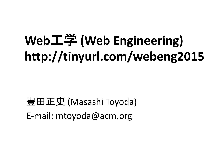## **Web**工学 **(Web Engineering) http://tinyurl.com/webeng2015**

豊田正史 (Masashi Toyoda) E-mail: mtoyoda@acm.org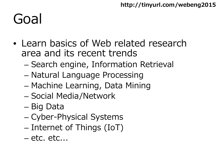## Goal

- Learn basics of Web related research area and its recent trends
	- Search engine, Information Retrieval
	- Natural Language Processing
	- Machine Learning, Data Mining
	- Social Media/Network
	- Big Data
	- Cyber-Physical Systems
	- Internet of Things (IoT)
	- etc. etc...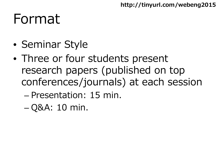### Format

- Seminar Style
- Three or four students present research papers (published on top conferences/journals) at each session
	- Presentation: 15 min.
	- Q&A: 10 min.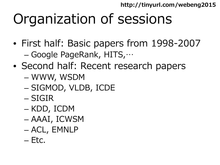# Organization of sessions

- First half: Basic papers from 1998-2007 – Google PageRank, HITS,…
- Second half: Recent research papers
	- WWW, WSDM
	- SIGMOD, VLDB, ICDE
	- SIGIR
	- KDD, ICDM
	- AAAI, ICWSM
	- ACL, EMNLP
	- Etc.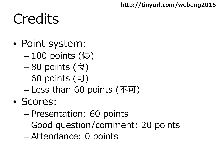## **Credits**

- Point system:
	- 100 points (優)
	- 80 points (良)
	- 60 points (可)
	- Less than 60 points (不可)
- Scores:
	- Presentation: 60 points
	- Good question/comment: 20 points
	- Attendance: 0 points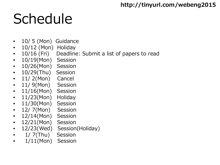# Schedule

- 10/ 5 (Mon) Guidance
- 10/12 (Mon) Holiday
- 10/16 (Fri) Deadline: Submit a list of papers to read
- 10/19(Mon) Session
- 10/26(Mon) Session
- 10/29(Thu) Session
- 11/2(Mon) Cancel
- 11/ 9(Mon) Session
- 11/16(Mon) Session
- 11/23(Mon) Holiday
- 11/30(Mon) Session
- 12/ 7(Mon) Session
- 12/14(Mon) Session
- 12/21(Mon) Session
- 12/23(Wed) Session(Holiday)
- 1/ 7(Thu) Session
- 1/11(Mon) Session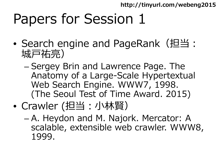## Papers for Session 1

- Search engine and PageRank (担当: 城戸祐亮)
	- Sergey Brin and Lawrence Page. The Anatomy of a Large-Scale Hypertextual Web Search Engine. WWW7, 1998. (The Seoul Test of Time Award. 2015)
- Crawler (担当:小林賢)
	- A. Heydon and M. Najork. Mercator: A scalable, extensible web crawler. WWW8, 1999.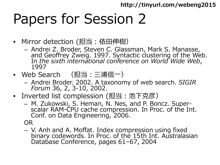### Papers for Session 2

- Mirror detection (担当:依田伸樹)
	- Andrei Z. Broder, Steven C. Glassman, Mark S. Manasse, and Geoffrey Zweig. 1997. Syntactic clustering of the Web. In *the sixth international conference on World Wide Web*, 1997
- Web Search (担当:三浦信一)
	- Andrei Broder. 2002. A taxonomy of web search. *SIGIR Forum* 36, 2, 3-10, 2002.
- Inverted list complession (担当:池下克彦)
	- M. Zukowski, S. Heman, N. Nes, and P. Boncz. Super- scalar RAM-CPU cache compression. In Proc. of the Int. Conf. on Data Engineering, 2006.

OR

– V. Anh and A. Moffat. Index compression using fixed binary codewords. In Proc. of the 15th Int. Australasian Database Conference, pages 61–67, 2004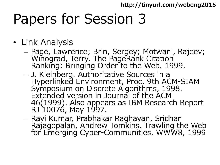## Papers for Session 3

- Link Analysis
	- Page, Lawrence; Brin, Sergey; Motwani, Rajeev; Winograd, Terry. The PageRank Citation Ranking: Bringing Order to the Web. 1999.
	- J. Kleinberg. Authoritative Sources in a Hyperlinked Environment, Proc. 9th ACM-SIAM Symposium on Discrete Algorithms, 1998. Extended version in Journal of the ACM 46(1999). Also appears as IBM Research Report RJ 10076, May 1997.
	- Ravi Kumar, Prabhakar Raghavan, Sridhar<br>Rajagopalan, Andrew Tomkins. Trawling the Web for Emerging Cyber-Communities. WWW8, 1999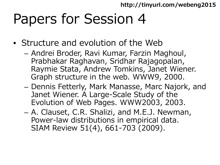### Papers for Session 4

- Structure and evolution of the Web
	- Andrei Broder, Ravi Kumar, Farzin Maghoul, Prabhakar Raghavan, Sridhar Rajagopalan, Raymie Stata, Andrew Tomkins, Janet Wiener. Graph structure in the web. WWW9, 2000.
	- Dennis Fetterly, Mark Manasse, Marc Najork, and Janet Wiener. A Large-Scale Study of the Evolution of Web Pages. WWW2003, 2003.
	- A. Clauset, C.R. Shalizi, and M.E.J. Newman, Power-law distributions in empirical data. SIAM Review 51(4), 661-703 (2009).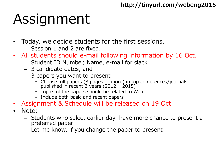# Assignment

- Today, we decide students for the first sessions.
	- Session 1 and 2 are fixed.
- All students should e-mail following information by 16 Oct.
	- Student ID Number, Name, e-mail for slack
	- 3 candidate dates, and
	- 3 papers you want to present
		- Choose full papers (8 pages or more) in top conferences/journals published in recent 3 years (2012 – 2015)
		- Topics of the papers should be related to Web.
		- Include both basic and recent papers
- Assignment & Schedule will be released on 19 Oct.
- Note:
	- Students who select earlier day have more chance to present a preferred paper
	- Let me know, if you change the paper to present